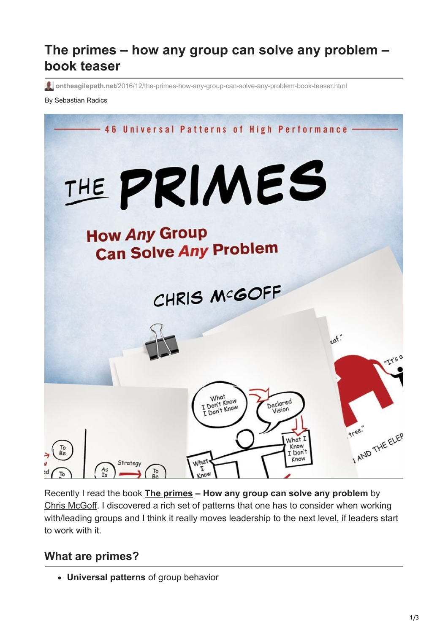# **The primes – how any group can solve any problem – book teaser**

**ontheagilepath.net**[/2016/12/the-primes-how-any-group-can-solve-any-problem-book-teaser.html](https://www.ontheagilepath.net/2016/12/the-primes-how-any-group-can-solve-any-problem-book-teaser.html)

#### By Sebastian Radics



Recently I read the book **[The primes](http://www.theprimes.com/) – How any group can solve any problem** by [Chris McGoff.](http://www.theprimes.com/about/chris-mcgoff) I discovered a rich set of patterns that one has to consider when working with/leading groups and I think it really moves leadership to the next level, if leaders start to work with it.

#### **What are primes?**

**Universal patterns** of group behavior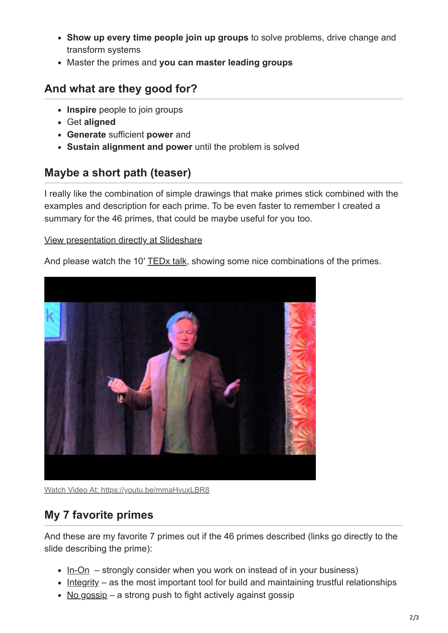- **Show up every time people join up groups** to solve problems, drive change and transform systems
- Master the primes and **you can master leading groups**

## **And what are they good for?**

- **Inspire** people to join groups
- Get **aligned**
- **Generate** sufficient **power** and
- **Sustain alignment and power** until the problem is solved

#### **Maybe a short path (teaser)**

I really like the combination of simple drawings that make primes stick combined with the examples and description for each prime. To be even faster to remember I created a summary for the 46 primes, that could be maybe useful for you too.

#### [View presentation directly at Slideshare](http://www.slideshare.net/SebastianRadics/the-primes-how-any-group-can-solve-any-problem)

And please watch the 10' [TEDx talk](https://youtu.be/mmaHvuxLBR8), showing some nice combinations of the primes.



Watch Video At: <https://youtu.be/mmaHvuxLBR8>

## **My 7 favorite primes**

And these are my favorite 7 primes out if the 46 primes described (links go directly to the slide describing the prime):

- $\cdot$  [In-On](http://www.slideshare.net/SebastianRadics/the-primes-how-any-group-can-solve-any-problem/9) strongly consider when you work on instead of in your business)
- $\bullet$  [Integrity](http://www.slideshare.net/SebastianRadics/the-primes-how-any-group-can-solve-any-problem/14)  as the most important tool for build and maintaining trustful relationships
- [No gossip](http://www.slideshare.net/SebastianRadics/the-primes-how-any-group-can-solve-any-problem/59)  a strong push to fight actively against gossip